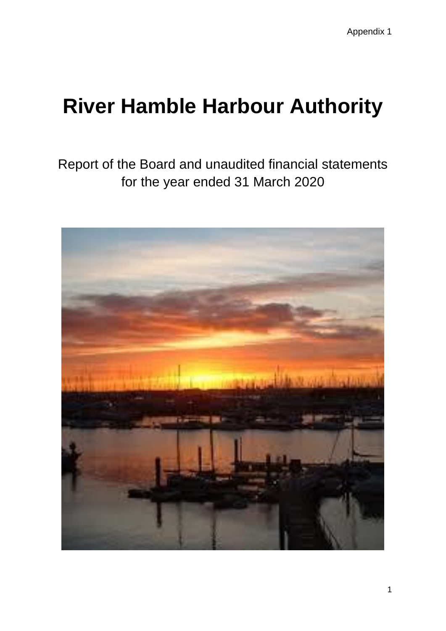Report of the Board and unaudited financial statements for the year ended 31 March 2020

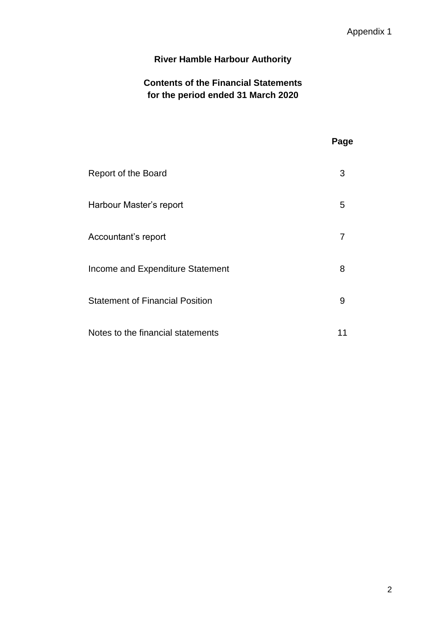## **Contents of the Financial Statements for the period ended 31 March 2020**

# **Page** Report of the Board 3 Harbour Master's report 5 Accountant's report 7 Income and Expenditure Statement 8 Statement of Financial Position 60 and 100 and 100 and 100 and 100 and 100 and 100 and 100 and 100 and 100 and 100 and 100 and 100 and 100 and 100 and 100 and 100 and 100 and 100 and 100 and 100 and 100 and 100 and 100 and Notes to the financial statements 11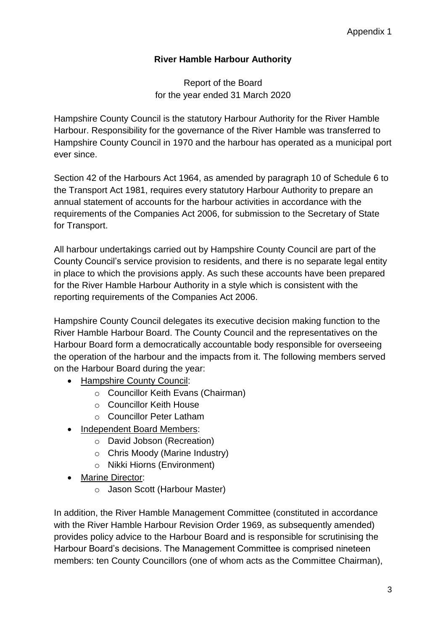## Report of the Board for the year ended 31 March 2020

Hampshire County Council is the statutory Harbour Authority for the River Hamble Harbour. Responsibility for the governance of the River Hamble was transferred to Hampshire County Council in 1970 and the harbour has operated as a municipal port ever since.

Section 42 of the Harbours Act 1964, as amended by paragraph 10 of Schedule 6 to the Transport Act 1981, requires every statutory Harbour Authority to prepare an annual statement of accounts for the harbour activities in accordance with the requirements of the Companies Act 2006, for submission to the Secretary of State for Transport.

All harbour undertakings carried out by Hampshire County Council are part of the County Council's service provision to residents, and there is no separate legal entity in place to which the provisions apply. As such these accounts have been prepared for the River Hamble Harbour Authority in a style which is consistent with the reporting requirements of the Companies Act 2006.

Hampshire County Council delegates its executive decision making function to the River Hamble Harbour Board. The County Council and the representatives on the Harbour Board form a democratically accountable body responsible for overseeing the operation of the harbour and the impacts from it. The following members served on the Harbour Board during the year:

- Hampshire County Council:
	- o Councillor Keith Evans (Chairman)
	- o Councillor Keith House
	- o Councillor Peter Latham
- Independent Board Members:
	- o David Jobson (Recreation)
	- o Chris Moody (Marine Industry)
	- o Nikki Hiorns (Environment)
- Marine Director:
	- o Jason Scott (Harbour Master)

In addition, the River Hamble Management Committee (constituted in accordance with the River Hamble Harbour Revision Order 1969, as subsequently amended) provides policy advice to the Harbour Board and is responsible for scrutinising the Harbour Board's decisions. The Management Committee is comprised nineteen members: ten County Councillors (one of whom acts as the Committee Chairman),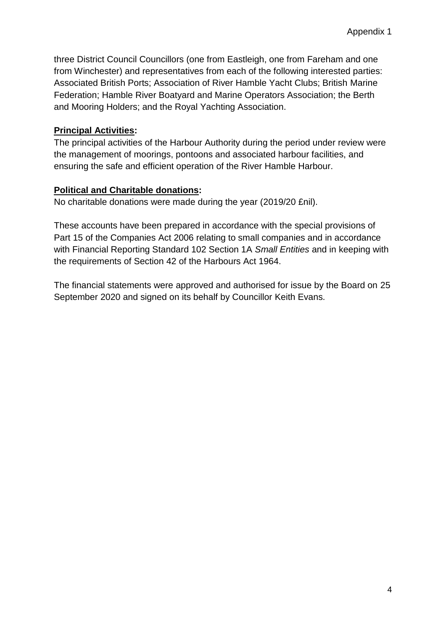three District Council Councillors (one from Eastleigh, one from Fareham and one from Winchester) and representatives from each of the following interested parties: Associated British Ports; Association of River Hamble Yacht Clubs; British Marine Federation; Hamble River Boatyard and Marine Operators Association; the Berth and Mooring Holders; and the Royal Yachting Association.

## **Principal Activities:**

The principal activities of the Harbour Authority during the period under review were the management of moorings, pontoons and associated harbour facilities, and ensuring the safe and efficient operation of the River Hamble Harbour.

## **Political and Charitable donations:**

No charitable donations were made during the year (2019/20 £nil).

These accounts have been prepared in accordance with the special provisions of Part 15 of the Companies Act 2006 relating to small companies and in accordance with Financial Reporting Standard 102 Section 1A *Small Entities* and in keeping with the requirements of Section 42 of the Harbours Act 1964.

The financial statements were approved and authorised for issue by the Board on 25 September 2020 and signed on its behalf by Councillor Keith Evans.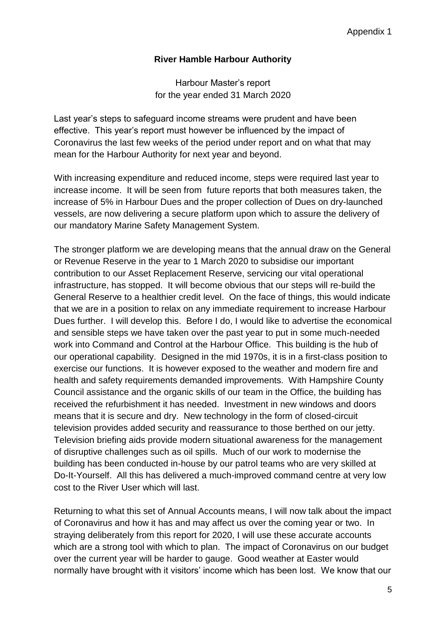Harbour Master's report for the year ended 31 March 2020

Last year's steps to safeguard income streams were prudent and have been effective. This year's report must however be influenced by the impact of Coronavirus the last few weeks of the period under report and on what that may mean for the Harbour Authority for next year and beyond.

With increasing expenditure and reduced income, steps were required last year to increase income. It will be seen from future reports that both measures taken, the increase of 5% in Harbour Dues and the proper collection of Dues on dry-launched vessels, are now delivering a secure platform upon which to assure the delivery of our mandatory Marine Safety Management System.

The stronger platform we are developing means that the annual draw on the General or Revenue Reserve in the year to 1 March 2020 to subsidise our important contribution to our Asset Replacement Reserve, servicing our vital operational infrastructure, has stopped. It will become obvious that our steps will re-build the General Reserve to a healthier credit level. On the face of things, this would indicate that we are in a position to relax on any immediate requirement to increase Harbour Dues further. I will develop this. Before I do, I would like to advertise the economical and sensible steps we have taken over the past year to put in some much-needed work into Command and Control at the Harbour Office. This building is the hub of our operational capability. Designed in the mid 1970s, it is in a first-class position to exercise our functions. It is however exposed to the weather and modern fire and health and safety requirements demanded improvements. With Hampshire County Council assistance and the organic skills of our team in the Office, the building has received the refurbishment it has needed. Investment in new windows and doors means that it is secure and dry. New technology in the form of closed-circuit television provides added security and reassurance to those berthed on our jetty. Television briefing aids provide modern situational awareness for the management of disruptive challenges such as oil spills. Much of our work to modernise the building has been conducted in-house by our patrol teams who are very skilled at Do-It-Yourself. All this has delivered a much-improved command centre at very low cost to the River User which will last.

Returning to what this set of Annual Accounts means, I will now talk about the impact of Coronavirus and how it has and may affect us over the coming year or two. In straying deliberately from this report for 2020, I will use these accurate accounts which are a strong tool with which to plan. The impact of Coronavirus on our budget over the current year will be harder to gauge. Good weather at Easter would normally have brought with it visitors' income which has been lost. We know that our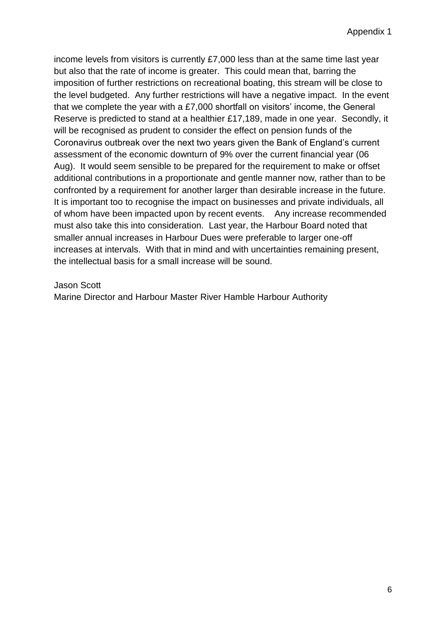income levels from visitors is currently £7,000 less than at the same time last year but also that the rate of income is greater. This could mean that, barring the imposition of further restrictions on recreational boating, this stream will be close to the level budgeted. Any further restrictions will have a negative impact. In the event that we complete the year with a £7,000 shortfall on visitors' income, the General Reserve is predicted to stand at a healthier £17,189, made in one year. Secondly, it will be recognised as prudent to consider the effect on pension funds of the Coronavirus outbreak over the next two years given the Bank of England's current assessment of the economic downturn of 9% over the current financial year (06 Aug). It would seem sensible to be prepared for the requirement to make or offset additional contributions in a proportionate and gentle manner now, rather than to be confronted by a requirement for another larger than desirable increase in the future. It is important too to recognise the impact on businesses and private individuals, all of whom have been impacted upon by recent events. Any increase recommended must also take this into consideration. Last year, the Harbour Board noted that smaller annual increases in Harbour Dues were preferable to larger one-off increases at intervals. With that in mind and with uncertainties remaining present, the intellectual basis for a small increase will be sound.

Jason Scott

Marine Director and Harbour Master River Hamble Harbour Authority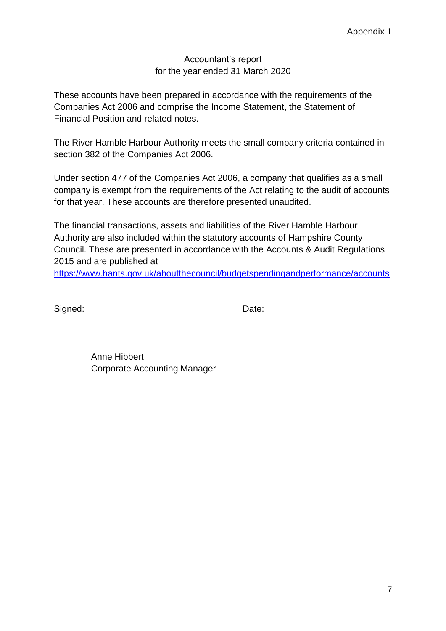#### Accountant's report for the year ended 31 March 2020

These accounts have been prepared in accordance with the requirements of the Companies Act 2006 and comprise the Income Statement, the Statement of Financial Position and related notes.

The River Hamble Harbour Authority meets the small company criteria contained in section 382 of the Companies Act 2006.

Under section 477 of the Companies Act 2006, a company that qualifies as a small company is exempt from the requirements of the Act relating to the audit of accounts for that year. These accounts are therefore presented unaudited.

The financial transactions, assets and liabilities of the River Hamble Harbour Authority are also included within the statutory accounts of Hampshire County Council. These are presented in accordance with the Accounts & Audit Regulations 2015 and are published at

<https://www.hants.gov.uk/aboutthecouncil/budgetspendingandperformance/accounts>

Signed: Date:

Anne Hibbert Corporate Accounting Manager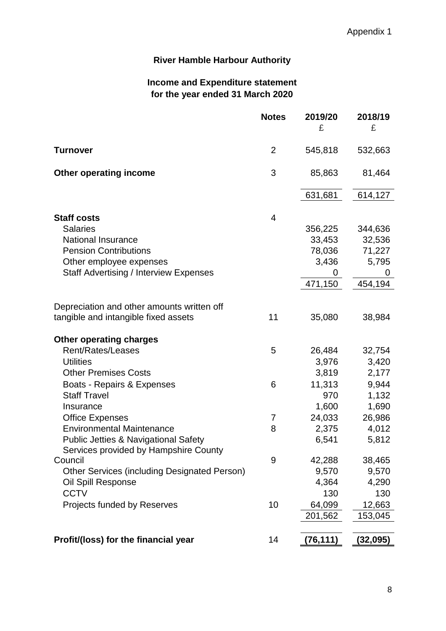## **Income and Expenditure statement for the year ended 31 March 2020**

|                                                     | <b>Notes</b>   | 2019/20   | 2018/19   |
|-----------------------------------------------------|----------------|-----------|-----------|
|                                                     |                | £         | £         |
| <b>Turnover</b>                                     | $\overline{2}$ | 545,818   | 532,663   |
| <b>Other operating income</b>                       | 3              | 85,863    | 81,464    |
|                                                     |                | 631,681   | 614,127   |
| <b>Staff costs</b>                                  | 4              |           |           |
| <b>Salaries</b>                                     |                | 356,225   | 344,636   |
| National Insurance                                  |                | 33,453    | 32,536    |
| <b>Pension Contributions</b>                        |                | 78,036    | 71,227    |
| Other employee expenses                             |                | 3,436     | 5,795     |
| <b>Staff Advertising / Interview Expenses</b>       |                | 0         | 0         |
|                                                     |                | 471,150   | 454,194   |
| Depreciation and other amounts written off          |                |           |           |
| tangible and intangible fixed assets                | 11             | 35,080    | 38,984    |
| <b>Other operating charges</b>                      |                |           |           |
| Rent/Rates/Leases                                   | 5              | 26,484    | 32,754    |
| <b>Utilities</b>                                    |                | 3,976     | 3,420     |
| <b>Other Premises Costs</b>                         |                | 3,819     | 2,177     |
| Boats - Repairs & Expenses                          | 6              | 11,313    | 9,944     |
| <b>Staff Travel</b>                                 |                | 970       | 1,132     |
| Insurance                                           |                | 1,600     | 1,690     |
| <b>Office Expenses</b>                              | 7              | 24,033    | 26,986    |
| <b>Environmental Maintenance</b>                    | 8              | 2,375     | 4,012     |
| <b>Public Jetties &amp; Navigational Safety</b>     |                | 6,541     | 5,812     |
| Services provided by Hampshire County               |                |           |           |
| Council                                             | $9$            | 42,288    | 38,465    |
| <b>Other Services (including Designated Person)</b> |                | 9,570     | 9,570     |
| Oil Spill Response                                  |                | 4,364     | 4,290     |
| <b>CCTV</b>                                         |                | 130       | 130       |
| Projects funded by Reserves                         | 10             | 64,099    | 12,663    |
|                                                     |                | 201,562   | 153,045   |
| Profit/(loss) for the financial year                | 14             | (76, 111) | (32, 095) |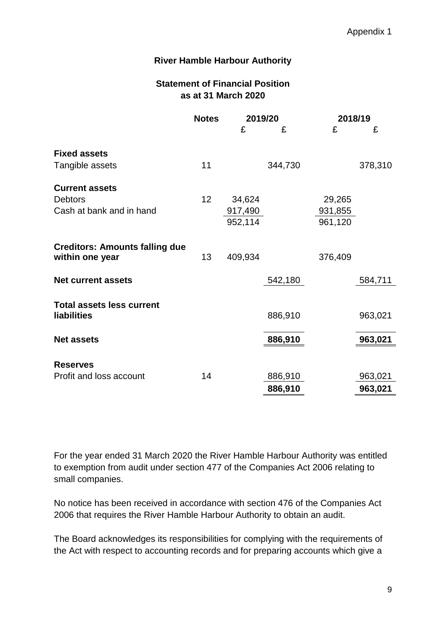## **Statement of Financial Position as at 31 March 2020**

|                                                                     | <b>Notes</b> | 2019/20                      |         | 2018/19                      |         |
|---------------------------------------------------------------------|--------------|------------------------------|---------|------------------------------|---------|
|                                                                     |              | £                            | £       | £                            | £       |
| <b>Fixed assets</b><br>Tangible assets                              | 11           |                              | 344,730 |                              | 378,310 |
| <b>Current assets</b><br><b>Debtors</b><br>Cash at bank and in hand | 12           | 34,624<br>917,490<br>952,114 |         | 29,265<br>931,855<br>961,120 |         |
| <b>Creditors: Amounts falling due</b><br>within one year            | 13           | 409,934                      |         | 376,409                      |         |
| <b>Net current assets</b>                                           |              |                              | 542,180 |                              | 584,711 |
| <b>Total assets less current</b><br>liabilities                     |              |                              | 886,910 |                              | 963,021 |
| <b>Net assets</b>                                                   |              |                              | 886,910 |                              | 963,021 |
| <b>Reserves</b><br>Profit and loss account                          | 14           |                              | 886,910 |                              | 963,021 |
|                                                                     |              |                              | 886,910 |                              | 963,021 |

For the year ended 31 March 2020 the River Hamble Harbour Authority was entitled to exemption from audit under section 477 of the Companies Act 2006 relating to small companies.

No notice has been received in accordance with section 476 of the Companies Act 2006 that requires the River Hamble Harbour Authority to obtain an audit.

The Board acknowledges its responsibilities for complying with the requirements of the Act with respect to accounting records and for preparing accounts which give a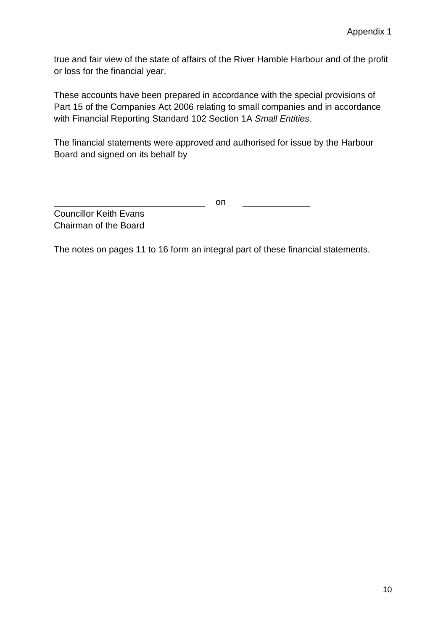true and fair view of the state of affairs of the River Hamble Harbour and of the profit or loss for the financial year.

These accounts have been prepared in accordance with the special provisions of Part 15 of the Companies Act 2006 relating to small companies and in accordance with Financial Reporting Standard 102 Section 1A *Small Entities.*

The financial statements were approved and authorised for issue by the Harbour Board and signed on its behalf by

on

Councillor Keith Evans Chairman of the Board

The notes on pages 11 to 16 form an integral part of these financial statements.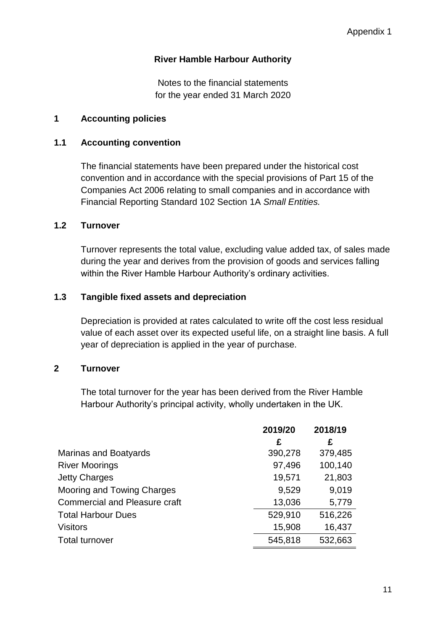Notes to the financial statements for the year ended 31 March 2020

## **1 Accounting policies**

#### **1.1 Accounting convention**

The financial statements have been prepared under the historical cost convention and in accordance with the special provisions of Part 15 of the Companies Act 2006 relating to small companies and in accordance with Financial Reporting Standard 102 Section 1A *Small Entities.*

#### **1.2 Turnover**

Turnover represents the total value, excluding value added tax, of sales made during the year and derives from the provision of goods and services falling within the River Hamble Harbour Authority's ordinary activities.

#### **1.3 Tangible fixed assets and depreciation**

Depreciation is provided at rates calculated to write off the cost less residual value of each asset over its expected useful life, on a straight line basis. A full year of depreciation is applied in the year of purchase.

#### **2 Turnover**

The total turnover for the year has been derived from the River Hamble Harbour Authority's principal activity, wholly undertaken in the UK.

|                                      | 2019/20 | 2018/19 |
|--------------------------------------|---------|---------|
|                                      | £       | £       |
| Marinas and Boatyards                | 390,278 | 379,485 |
| <b>River Moorings</b>                | 97,496  | 100,140 |
| <b>Jetty Charges</b>                 | 19,571  | 21,803  |
| Mooring and Towing Charges           | 9,529   | 9,019   |
| <b>Commercial and Pleasure craft</b> | 13,036  | 5,779   |
| <b>Total Harbour Dues</b>            | 529,910 | 516,226 |
| <b>Visitors</b>                      | 15,908  | 16,437  |
| <b>Total turnover</b>                | 545,818 | 532,663 |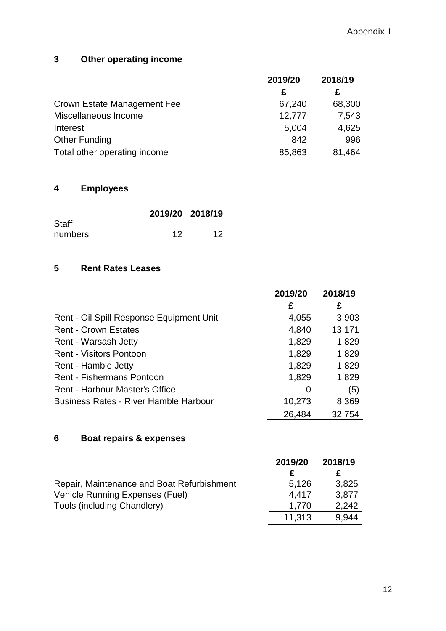## **3 Other operating income**

|                              | 2019/20 | 2018/19 |
|------------------------------|---------|---------|
|                              | £       | £       |
| Crown Estate Management Fee  | 67,240  | 68,300  |
| Miscellaneous Income         | 12,777  | 7,543   |
| Interest                     | 5,004   | 4,625   |
| Other Funding                | 842     | 996     |
| Total other operating income | 85,863  | 81,464  |

## **4 Employees**

|              | 2019/20 2018/19 |    |
|--------------|-----------------|----|
| <b>Staff</b> |                 |    |
| numbers      | 12              | 12 |

## **5 Rent Rates Leases**

|                                              | 2019/20 | 2018/19 |
|----------------------------------------------|---------|---------|
|                                              | £       | £       |
| Rent - Oil Spill Response Equipment Unit     | 4,055   | 3,903   |
| <b>Rent - Crown Estates</b>                  | 4,840   | 13,171  |
| Rent - Warsash Jetty                         | 1,829   | 1,829   |
| <b>Rent - Visitors Pontoon</b>               | 1,829   | 1,829   |
| Rent - Hamble Jetty                          | 1,829   | 1,829   |
| <b>Rent - Fishermans Pontoon</b>             | 1,829   | 1,829   |
| Rent - Harbour Master's Office               | O       | (5)     |
| <b>Business Rates - River Hamble Harbour</b> | 10,273  | 8,369   |
|                                              | 26,484  | 32,754  |

## **6 Boat repairs & expenses**

|                                            | 2019/20 | 2018/19 |
|--------------------------------------------|---------|---------|
|                                            |         |         |
| Repair, Maintenance and Boat Refurbishment | 5.126   | 3,825   |
| <b>Vehicle Running Expenses (Fuel)</b>     | 4.417   | 3,877   |
| Tools (including Chandlery)                | 1.770   | 2,242   |
|                                            | 11.313  | 9.944   |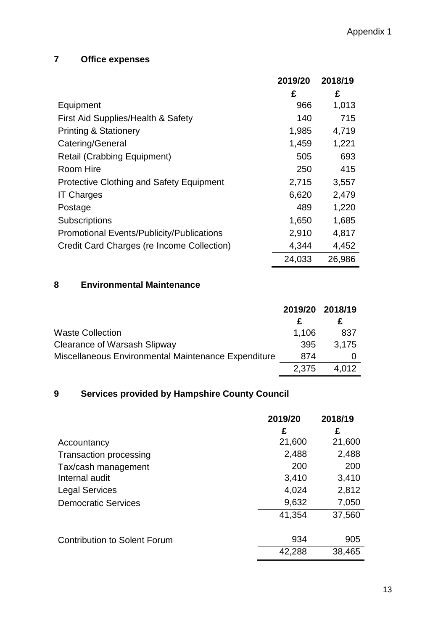## **7 Office expenses**

|                                                  | 2019/20 | 2018/19 |
|--------------------------------------------------|---------|---------|
|                                                  | £       | £       |
| Equipment                                        | 966     | 1,013   |
| First Aid Supplies/Health & Safety               | 140     | 715     |
| <b>Printing &amp; Stationery</b>                 | 1,985   | 4,719   |
| Catering/General                                 | 1,459   | 1,221   |
| <b>Retail (Crabbing Equipment)</b>               | 505     | 693     |
| Room Hire                                        | 250     | 415     |
| <b>Protective Clothing and Safety Equipment</b>  | 2,715   | 3,557   |
| <b>IT Charges</b>                                | 6,620   | 2,479   |
| Postage                                          | 489     | 1,220   |
| <b>Subscriptions</b>                             | 1,650   | 1,685   |
| <b>Promotional Events/Publicity/Publications</b> | 2,910   | 4,817   |
| Credit Card Charges (re Income Collection)       | 4,344   | 4,452   |
|                                                  | 24,033  | 26,986  |

## **8 Environmental Maintenance**

|                                                     |       | 2019/20 2018/19 |
|-----------------------------------------------------|-------|-----------------|
|                                                     |       |                 |
| <b>Waste Collection</b>                             | 1,106 | 837             |
| Clearance of Warsash Slipway                        | 395   | 3.175           |
| Miscellaneous Environmental Maintenance Expenditure | 874   |                 |
|                                                     | 2.375 | 4.012           |

## **9 Services provided by Hampshire County Council**

|                                     | 2019/20 | 2018/19 |
|-------------------------------------|---------|---------|
|                                     | £       | £       |
| Accountancy                         | 21,600  | 21,600  |
| <b>Transaction processing</b>       | 2,488   | 2,488   |
| Tax/cash management                 | 200     | 200     |
| Internal audit                      | 3,410   | 3,410   |
| <b>Legal Services</b>               | 4,024   | 2,812   |
| <b>Democratic Services</b>          | 9,632   | 7,050   |
|                                     | 41,354  | 37,560  |
| <b>Contribution to Solent Forum</b> | 934     | 905     |
|                                     | 42,288  | 38,465  |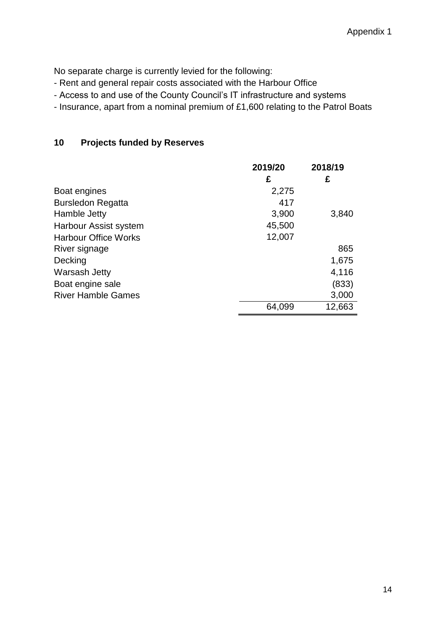No separate charge is currently levied for the following:

- Rent and general repair costs associated with the Harbour Office
- Access to and use of the County Council's IT infrastructure and systems
- Insurance, apart from a nominal premium of £1,600 relating to the Patrol Boats

## **10 Projects funded by Reserves**

|                             | 2019/20 | 2018/19 |
|-----------------------------|---------|---------|
|                             | £       | £       |
| Boat engines                | 2,275   |         |
| <b>Bursledon Regatta</b>    | 417     |         |
| Hamble Jetty                | 3,900   | 3,840   |
| Harbour Assist system       | 45,500  |         |
| <b>Harbour Office Works</b> | 12,007  |         |
| River signage               |         | 865     |
| Decking                     |         | 1,675   |
| Warsash Jetty               |         | 4,116   |
| Boat engine sale            |         | (833)   |
| <b>River Hamble Games</b>   |         | 3,000   |
|                             | 64,099  | 12,663  |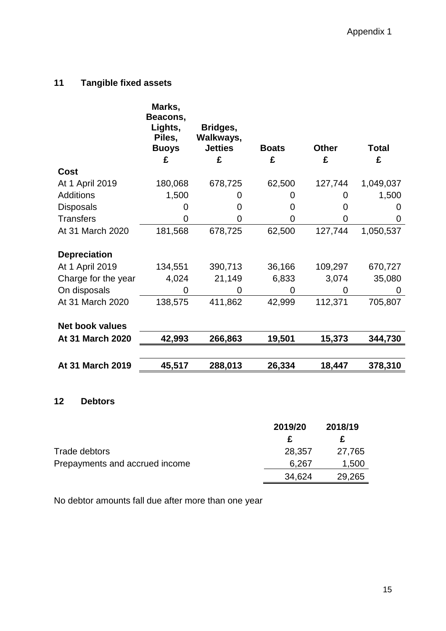## **11 Tangible fixed assets**

|                         | Marks,<br>Beacons,<br>Lights,<br>Piles,<br><b>Buoys</b><br>£ | Bridges,<br>Walkways,<br><b>Jetties</b><br>£ | <b>Boats</b><br>£ | <b>Other</b><br>£ | Total<br>£ |
|-------------------------|--------------------------------------------------------------|----------------------------------------------|-------------------|-------------------|------------|
| Cost                    |                                                              |                                              |                   |                   |            |
| At 1 April 2019         | 180,068                                                      | 678,725                                      | 62,500            | 127,744           | 1,049,037  |
| <b>Additions</b>        | 1,500                                                        |                                              |                   |                   | 1,500      |
| <b>Disposals</b>        |                                                              | 0                                            | O                 |                   | 0          |
| <b>Transfers</b>        |                                                              | 0                                            | 0                 | 0                 | O          |
| At 31 March 2020        | 181,568                                                      | 678,725                                      | 62,500            | 127,744           | 1,050,537  |
| <b>Depreciation</b>     |                                                              |                                              |                   |                   |            |
| At 1 April 2019         | 134,551                                                      | 390,713                                      | 36,166            | 109,297           | 670,727    |
| Charge for the year     | 4,024                                                        | 21,149                                       | 6,833             | 3,074             | 35,080     |
| On disposals            | 0                                                            | O                                            | 0                 | 0                 | 0          |
| At 31 March 2020        | 138,575                                                      | 411,862                                      | 42,999            | 112,371           | 705,807    |
| <b>Net book values</b>  |                                                              |                                              |                   |                   |            |
| At 31 March 2020        | 42,993                                                       | 266,863                                      | 19,501            | 15,373            | 344,730    |
| <b>At 31 March 2019</b> | 45,517                                                       | 288,013                                      | 26,334            | 18,447            | 378,310    |
|                         |                                                              |                                              |                   |                   |            |

## **12 Debtors**

|                                | 2019/20 | 2018/19 |
|--------------------------------|---------|---------|
|                                | £.      |         |
| Trade debtors                  | 28,357  | 27,765  |
| Prepayments and accrued income | 6,267   | 1,500   |
|                                | 34,624  | 29,265  |

No debtor amounts fall due after more than one year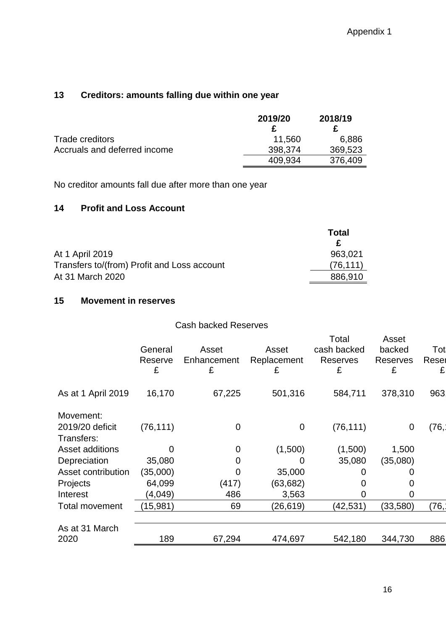## **13 Creditors: amounts falling due within one year**

|                              | 2019/20 | 2018/19 |
|------------------------------|---------|---------|
|                              |         |         |
| Trade creditors              | 11.560  | 6,886   |
| Accruals and deferred income | 398,374 | 369,523 |
|                              | 409.934 | 376,409 |

No creditor amounts fall due after more than one year

#### **14 Profit and Loss Account**

|                                             | Total     |
|---------------------------------------------|-----------|
|                                             |           |
| At 1 April 2019                             | 963,021   |
| Transfers to/(from) Profit and Loss account | (76, 111) |
| At 31 March 2020                            | 886,910   |

## **15 Movement in reserves**

|                                            |                         | <b>Cash backed Reserves</b> |                           |                                       |                                  |                   |
|--------------------------------------------|-------------------------|-----------------------------|---------------------------|---------------------------------------|----------------------------------|-------------------|
|                                            | General<br>Reserve<br>£ | Asset<br>Enhancement<br>£   | Asset<br>Replacement<br>£ | Total<br>cash backed<br>Reserves<br>£ | Asset<br>backed<br>Reserves<br>£ | Tot<br>Reser<br>£ |
| As at 1 April 2019                         | 16,170                  | 67,225                      | 501,316                   | 584,711                               | 378,310                          | 963               |
| Movement:<br>2019/20 deficit<br>Transfers: | (76, 111)               | 0                           | $\mathbf 0$               | (76, 111)                             | 0                                | (76,              |
| Asset additions                            | O                       | 0                           | (1,500)                   | (1,500)                               | 1,500                            |                   |
| Depreciation                               | 35,080                  | 0                           | 0                         | 35,080                                | (35,080)                         |                   |
| Asset contribution                         | (35,000)                | 0                           | 35,000                    | O                                     |                                  |                   |
| Projects                                   | 64,099                  | (417)                       | (63,682)                  | 0                                     |                                  |                   |
| Interest                                   | (4,049)                 | 486                         | 3,563                     | O                                     | 0                                |                   |
| <b>Total movement</b>                      | (15, 981)               | 69                          | (26,619)                  | (42, 531)                             | (33,580)                         | (76,              |
| As at 31 March                             |                         |                             |                           |                                       |                                  |                   |
| 2020                                       | 189                     | 67,294                      | 474,697                   | 542,180                               | 344,730                          | 886               |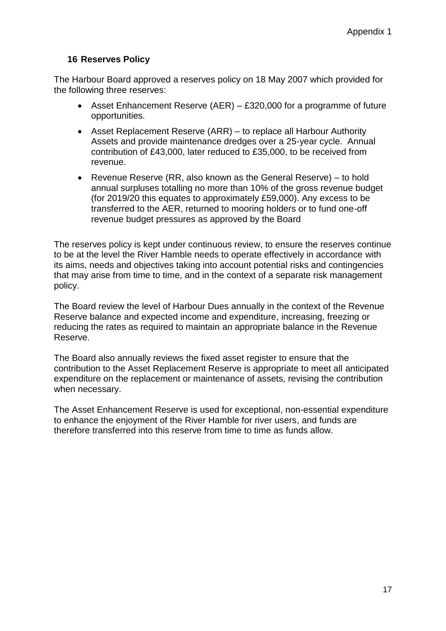#### **16 Reserves Policy**

The Harbour Board approved a reserves policy on 18 May 2007 which provided for the following three reserves:

- Asset Enhancement Reserve (AER) £320,000 for a programme of future opportunities.
- Asset Replacement Reserve (ARR) to replace all Harbour Authority Assets and provide maintenance dredges over a 25-year cycle. Annual contribution of £43,000, later reduced to £35,000, to be received from revenue.
- Revenue Reserve (RR, also known as the General Reserve) to hold annual surpluses totalling no more than 10% of the gross revenue budget (for 2019/20 this equates to approximately £59,000). Any excess to be transferred to the AER, returned to mooring holders or to fund one-off revenue budget pressures as approved by the Board

The reserves policy is kept under continuous review, to ensure the reserves continue to be at the level the River Hamble needs to operate effectively in accordance with its aims, needs and objectives taking into account potential risks and contingencies that may arise from time to time, and in the context of a separate risk management policy.

The Board review the level of Harbour Dues annually in the context of the Revenue Reserve balance and expected income and expenditure, increasing, freezing or reducing the rates as required to maintain an appropriate balance in the Revenue Reserve.

The Board also annually reviews the fixed asset register to ensure that the contribution to the Asset Replacement Reserve is appropriate to meet all anticipated expenditure on the replacement or maintenance of assets, revising the contribution when necessary.

The Asset Enhancement Reserve is used for exceptional, non-essential expenditure to enhance the enjoyment of the River Hamble for river users, and funds are therefore transferred into this reserve from time to time as funds allow.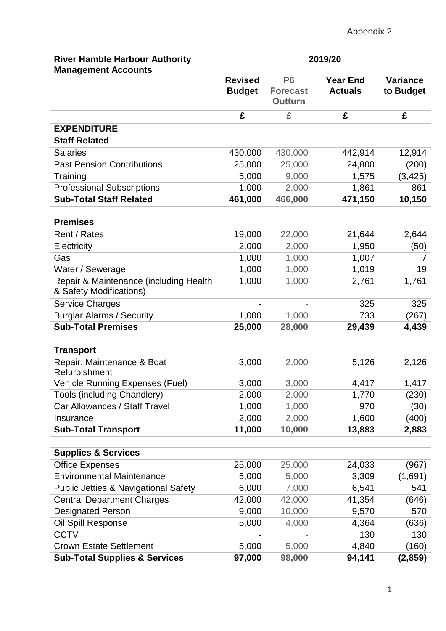| <b>River Hamble Harbour Authority</b><br><b>Management Accounts</b> | 2019/20                         |                                                     |                                   |                              |
|---------------------------------------------------------------------|---------------------------------|-----------------------------------------------------|-----------------------------------|------------------------------|
|                                                                     | <b>Revised</b><br><b>Budget</b> | P <sub>6</sub><br><b>Forecast</b><br><b>Outturn</b> | <b>Year End</b><br><b>Actuals</b> | <b>Variance</b><br>to Budget |
|                                                                     | £                               | £                                                   | £                                 | £                            |
| <b>EXPENDITURE</b>                                                  |                                 |                                                     |                                   |                              |
| <b>Staff Related</b>                                                |                                 |                                                     |                                   |                              |
| <b>Salaries</b>                                                     | 430,000                         | 430,000                                             | 442,914                           | 12,914                       |
| <b>Past Pension Contributions</b>                                   | 25,000                          | 25,000                                              | 24,800                            | (200)                        |
| Training                                                            | 5,000                           | 9,000                                               | 1,575                             | (3, 425)                     |
| <b>Professional Subscriptions</b>                                   | 1,000                           | 2,000                                               | 1,861                             | 861                          |
| <b>Sub-Total Staff Related</b>                                      | 461,000                         | 466,000                                             | 471,150                           | 10,150                       |
| <b>Premises</b>                                                     |                                 |                                                     |                                   |                              |
| Rent / Rates                                                        | 19,000                          | 22,000                                              | 21,644                            | 2,644                        |
| Electricity                                                         | 2,000                           | 2,000                                               | 1,950                             | (50)                         |
| Gas                                                                 | 1,000                           | 1,000                                               | 1,007                             | 7                            |
| Water / Sewerage                                                    | 1,000                           | 1,000                                               | 1,019                             | 19                           |
| Repair & Maintenance (including Health<br>& Safety Modifications)   | 1,000                           | 1,000                                               | 2,761                             | 1,761                        |
| Service Charges                                                     |                                 |                                                     | 325                               | 325                          |
| <b>Burglar Alarms / Security</b>                                    | 1,000                           | 1,000                                               | 733                               | (267)                        |
| <b>Sub-Total Premises</b>                                           | 25,000                          | 28,000                                              | 29,439                            | 4,439                        |
| <b>Transport</b>                                                    |                                 |                                                     |                                   |                              |
| Repair, Maintenance & Boat<br>Refurbishment                         | 3,000                           | 2,000                                               | 5,126                             | 2,126                        |
| <b>Vehicle Running Expenses (Fuel)</b>                              | 3,000                           | 3,000                                               | 4,417                             | 1,417                        |
| Tools (including Chandlery)                                         | 2,000                           | 2,000                                               | 1,770                             | (230)                        |
| Car Allowances / Staff Travel                                       | 1,000                           | 1,000                                               | 970                               | (30)                         |
| Insurance                                                           | 2,000                           | 2,000                                               | 1,600                             | (400)                        |
| <b>Sub-Total Transport</b>                                          | 11,000                          | 10,000                                              | 13,883                            | 2,883                        |
| <b>Supplies &amp; Services</b>                                      |                                 |                                                     |                                   |                              |
| <b>Office Expenses</b>                                              | 25,000                          | 25,000                                              | 24,033                            | (967)                        |
| <b>Environmental Maintenance</b>                                    | 5,000                           | 5,000                                               | 3,309                             | (1,691)                      |
| <b>Public Jetties &amp; Navigational Safety</b>                     | 6,000                           | 7,000                                               | 6,541                             | 541                          |
| <b>Central Department Charges</b>                                   | 42,000                          | 42,000                                              | 41,354                            | (646)                        |
| <b>Designated Person</b>                                            | 9,000                           | 10,000                                              | 9,570                             | 570                          |
| Oil Spill Response                                                  | 5,000                           | 4,000                                               | 4,364                             | (636)                        |
| <b>CCTV</b>                                                         |                                 |                                                     | 130                               | 130                          |
| <b>Crown Estate Settlement</b>                                      | 5,000                           | 5,000                                               | 4,840                             | (160)                        |
| <b>Sub-Total Supplies &amp; Services</b>                            | 97,000                          | 98,000                                              | 94,141                            | (2,859)                      |
|                                                                     |                                 |                                                     |                                   |                              |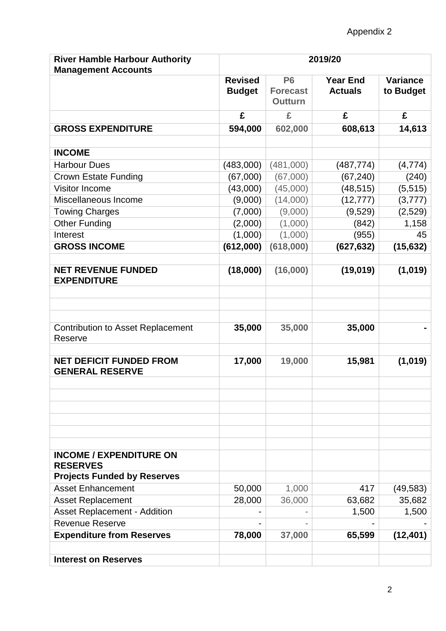| <b>River Hamble Harbour Authority</b><br><b>Management Accounts</b>                     | 2019/20                         |                                                |                                   |                       |
|-----------------------------------------------------------------------------------------|---------------------------------|------------------------------------------------|-----------------------------------|-----------------------|
|                                                                                         | <b>Revised</b><br><b>Budget</b> | <b>P6</b><br><b>Forecast</b><br><b>Outturn</b> | <b>Year End</b><br><b>Actuals</b> | Variance<br>to Budget |
|                                                                                         | £                               | £                                              | £                                 | £                     |
| <b>GROSS EXPENDITURE</b>                                                                | 594,000                         | 602,000                                        | 608,613                           | 14,613                |
| <b>INCOME</b>                                                                           |                                 |                                                |                                   |                       |
| <b>Harbour Dues</b>                                                                     | (483,000)                       | (481,000)                                      | (487, 774)                        | (4, 774)              |
| <b>Crown Estate Funding</b>                                                             | (67,000)                        | (67,000)                                       | (67, 240)                         | (240)                 |
| Visitor Income                                                                          | (43,000)                        | (45,000)                                       | (48, 515)                         | (5, 515)              |
| Miscellaneous Income                                                                    | (9,000)                         | (14,000)                                       | (12, 777)                         | (3,777)               |
| <b>Towing Charges</b>                                                                   | (7,000)                         | (9,000)                                        | (9,529)                           | (2,529)               |
| <b>Other Funding</b>                                                                    | (2,000)                         | (1,000)                                        | (842)                             | 1,158                 |
| Interest                                                                                | (1,000)                         | (1,000)                                        | (955)                             | 45                    |
| <b>GROSS INCOME</b>                                                                     | (612,000)                       | (618,000)                                      | (627, 632)                        | (15, 632)             |
|                                                                                         |                                 |                                                |                                   |                       |
| <b>NET REVENUE FUNDED</b><br><b>EXPENDITURE</b>                                         | (18,000)                        | (16,000)                                       | (19,019)                          | (1,019)               |
|                                                                                         |                                 |                                                |                                   |                       |
| <b>Contribution to Asset Replacement</b><br>Reserve                                     | 35,000                          | 35,000                                         | 35,000                            |                       |
| <b>NET DEFICIT FUNDED FROM</b><br><b>GENERAL RESERVE</b>                                | 17,000                          | 19,000                                         | 15,981                            | (1,019)               |
|                                                                                         |                                 |                                                |                                   |                       |
| <b>INCOME / EXPENDITURE ON</b><br><b>RESERVES</b><br><b>Projects Funded by Reserves</b> |                                 |                                                |                                   |                       |
| <b>Asset Enhancement</b>                                                                | 50,000                          | 1,000                                          | 417                               | (49, 583)             |
| <b>Asset Replacement</b>                                                                | 28,000                          | 36,000                                         | 63,682                            | 35,682                |
| <b>Asset Replacement - Addition</b>                                                     |                                 |                                                | 1,500                             | 1,500                 |
| <b>Revenue Reserve</b>                                                                  |                                 |                                                |                                   |                       |
| <b>Expenditure from Reserves</b>                                                        | 78,000                          | 37,000                                         | 65,599                            | (12, 401)             |
|                                                                                         |                                 |                                                |                                   |                       |
| <b>Interest on Reserves</b>                                                             |                                 |                                                |                                   |                       |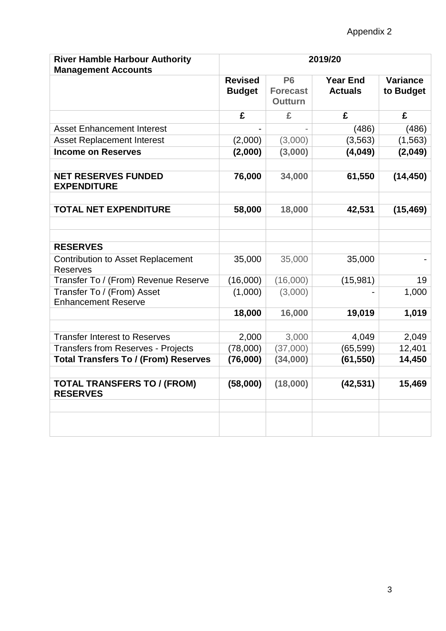| <b>River Hamble Harbour Authority</b><br><b>Management Accounts</b> | 2019/20                         |                                                |                                   |                              |
|---------------------------------------------------------------------|---------------------------------|------------------------------------------------|-----------------------------------|------------------------------|
|                                                                     | <b>Revised</b><br><b>Budget</b> | <b>P6</b><br><b>Forecast</b><br><b>Outturn</b> | <b>Year End</b><br><b>Actuals</b> | <b>Variance</b><br>to Budget |
|                                                                     | £                               | £                                              | £                                 | £                            |
| <b>Asset Enhancement Interest</b>                                   |                                 |                                                | (486)                             | (486)                        |
| <b>Asset Replacement Interest</b>                                   | (2,000)                         | (3,000)                                        | (3, 563)                          | (1, 563)                     |
| <b>Income on Reserves</b>                                           | (2,000)                         | (3,000)                                        | (4,049)                           | (2,049)                      |
| <b>NET RESERVES FUNDED</b><br><b>EXPENDITURE</b>                    | 76,000                          | 34,000                                         | 61,550                            | (14, 450)                    |
| <b>TOTAL NET EXPENDITURE</b>                                        | 58,000                          | 18,000                                         | 42,531                            | (15, 469)                    |
|                                                                     |                                 |                                                |                                   |                              |
| <b>RESERVES</b>                                                     |                                 |                                                |                                   |                              |
| <b>Contribution to Asset Replacement</b><br><b>Reserves</b>         | 35,000                          | 35,000                                         | 35,000                            |                              |
| Transfer To / (From) Revenue Reserve                                | (16,000)                        | (16,000)                                       | (15,981)                          | 19                           |
| Transfer To / (From) Asset<br><b>Enhancement Reserve</b>            | (1,000)                         | (3,000)                                        |                                   | 1,000                        |
|                                                                     | 18,000                          | 16,000                                         | 19,019                            | 1,019                        |
| <b>Transfer Interest to Reserves</b>                                | 2,000                           | 3,000                                          | 4,049                             | 2,049                        |
| <b>Transfers from Reserves - Projects</b>                           | (78,000)                        | (37,000)                                       | (65, 599)                         | 12,401                       |
| <b>Total Transfers To / (From) Reserves</b>                         | (76,000)                        | (34,000)                                       | (61, 550)                         | 14,450                       |
| <b>TOTAL TRANSFERS TO / (FROM)</b><br><b>RESERVES</b>               | (58,000)                        | (18,000)                                       | (42, 531)                         | 15,469                       |
|                                                                     |                                 |                                                |                                   |                              |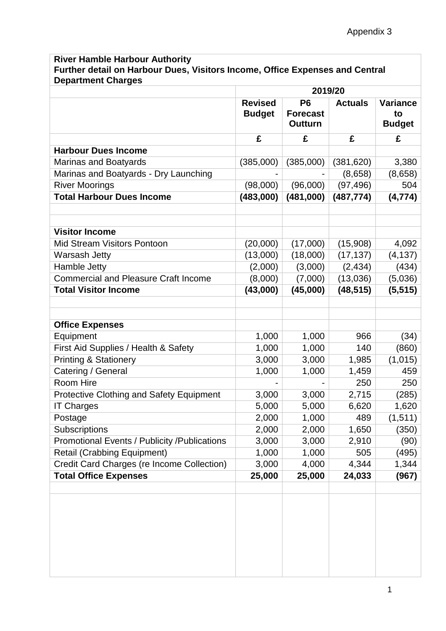## **River Hamble Harbour Authority Further detail on Harbour Dues, Visitors Income, Office Expenses and Central Department Charges**

|                                                   | 2019/20                         |                                                     |            |                                        |
|---------------------------------------------------|---------------------------------|-----------------------------------------------------|------------|----------------------------------------|
|                                                   | <b>Revised</b><br><b>Budget</b> | P <sub>6</sub><br><b>Forecast</b><br><b>Outturn</b> |            | <b>Variance</b><br>to<br><b>Budget</b> |
|                                                   | £                               | £                                                   | £          | £                                      |
| <b>Harbour Dues Income</b>                        |                                 |                                                     |            |                                        |
| Marinas and Boatyards                             | (385,000)                       | (385,000)                                           | (381, 620) | 3,380                                  |
| Marinas and Boatyards - Dry Launching             |                                 |                                                     | (8,658)    | (8,658)                                |
| <b>River Moorings</b>                             | (98,000)                        | (96,000)                                            | (97, 496)  | 504                                    |
| <b>Total Harbour Dues Income</b>                  | (483,000)                       | (481,000)                                           | (487, 774) | (4, 774)                               |
|                                                   |                                 |                                                     |            |                                        |
| <b>Visitor Income</b>                             |                                 |                                                     |            |                                        |
| <b>Mid Stream Visitors Pontoon</b>                | (20,000)                        | (17,000)                                            | (15,908)   | 4,092                                  |
| <b>Warsash Jetty</b>                              | (13,000)                        | (18,000)                                            | (17, 137)  | (4, 137)                               |
| Hamble Jetty                                      | (2,000)                         | (3,000)                                             | (2, 434)   | (434)                                  |
| <b>Commercial and Pleasure Craft Income</b>       | (8,000)                         | (7,000)                                             | (13,036)   | (5,036)                                |
| <b>Total Visitor Income</b>                       | (43,000)                        | (45,000)                                            | (48, 515)  | (5, 515)                               |
| <b>Office Expenses</b>                            |                                 |                                                     |            |                                        |
| Equipment                                         | 1,000                           | 1,000                                               | 966        | (34)                                   |
| First Aid Supplies / Health & Safety              | 1,000                           | 1,000                                               | 140        | (860)                                  |
| <b>Printing &amp; Stationery</b>                  | 3,000                           | 3,000                                               | 1,985      | (1,015)                                |
| Catering / General                                | 1,000                           | 1,000                                               | 1,459      | 459                                    |
| Room Hire                                         |                                 |                                                     | 250        | 250                                    |
| <b>Protective Clothing and Safety Equipment</b>   | 3,000                           | 3,000                                               | 2,715      | (285)                                  |
| <b>IT Charges</b>                                 | 5,000                           | 5,000                                               | 6,620      | 1,620                                  |
| Postage                                           | 2,000                           | 1,000                                               | 489        | (1,511)                                |
| <b>Subscriptions</b>                              | 2,000                           | 2,000                                               | 1,650      | (350)                                  |
| Promotional Events / Publicity / Publications     | 3,000                           | 3,000                                               | 2,910      | (90)                                   |
| <b>Retail (Crabbing Equipment)</b>                | 1,000                           | 1,000                                               | 505        | (495)                                  |
| <b>Credit Card Charges (re Income Collection)</b> | 3,000                           | 4,000                                               | 4,344      | 1,344                                  |
| <b>Total Office Expenses</b>                      | 25,000                          | 25,000                                              | 24,033     | (967)                                  |
|                                                   |                                 |                                                     |            |                                        |
|                                                   |                                 |                                                     |            |                                        |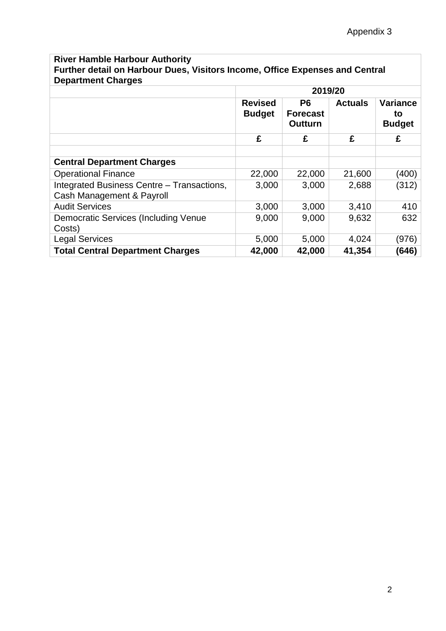## **River Hamble Harbour Authority Further detail on Harbour Dues, Visitors Income, Office Expenses and Central Department Charges**

|                                                                         | 2019/20                                                                                |        |                |                                        |
|-------------------------------------------------------------------------|----------------------------------------------------------------------------------------|--------|----------------|----------------------------------------|
|                                                                         | <b>Revised</b><br>P <sub>6</sub><br><b>Budget</b><br><b>Forecast</b><br><b>Outturn</b> |        | <b>Actuals</b> | <b>Variance</b><br>to<br><b>Budget</b> |
|                                                                         | £                                                                                      | £      | £              | £                                      |
|                                                                         |                                                                                        |        |                |                                        |
| <b>Central Department Charges</b>                                       |                                                                                        |        |                |                                        |
| <b>Operational Finance</b>                                              | 22,000                                                                                 | 22,000 | 21,600         | (400)                                  |
| Integrated Business Centre - Transactions,<br>Cash Management & Payroll | 3,000                                                                                  | 3,000  | 2,688          | (312)                                  |
| <b>Audit Services</b>                                                   | 3,000                                                                                  | 3,000  | 3,410          | 410                                    |
| Democratic Services (Including Venue<br>Costs)                          | 9,000                                                                                  | 9,000  | 9,632          | 632                                    |
| <b>Legal Services</b>                                                   | 5,000                                                                                  | 5,000  | 4,024          | (976)                                  |
| <b>Total Central Department Charges</b>                                 | 42,000                                                                                 | 42,000 | 41,354         | (646)                                  |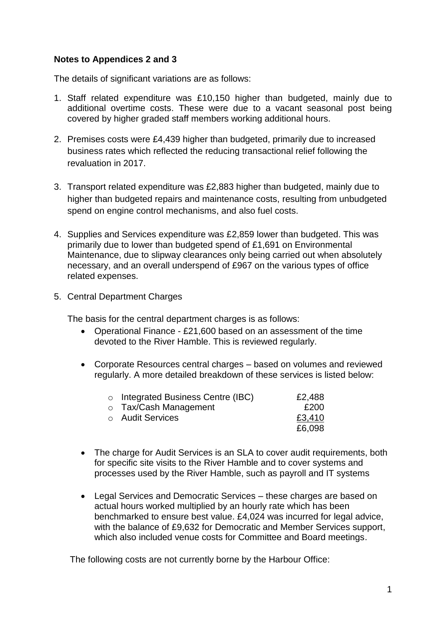#### **Notes to Appendices 2 and 3**

The details of significant variations are as follows:

- 1. Staff related expenditure was £10,150 higher than budgeted, mainly due to additional overtime costs. These were due to a vacant seasonal post being covered by higher graded staff members working additional hours.
- 2. Premises costs were £4,439 higher than budgeted, primarily due to increased business rates which reflected the reducing transactional relief following the revaluation in 2017.
- 3. Transport related expenditure was £2,883 higher than budgeted, mainly due to higher than budgeted repairs and maintenance costs, resulting from unbudgeted spend on engine control mechanisms, and also fuel costs.
- 4. Supplies and Services expenditure was £2,859 lower than budgeted. This was primarily due to lower than budgeted spend of £1,691 on Environmental Maintenance, due to slipway clearances only being carried out when absolutely necessary, and an overall underspend of £967 on the various types of office related expenses.
- 5. Central Department Charges

The basis for the central department charges is as follows:

- Operational Finance £21,600 based on an assessment of the time devoted to the River Hamble. This is reviewed regularly.
- Corporate Resources central charges based on volumes and reviewed regularly. A more detailed breakdown of these services is listed below:

| $\circ$ Integrated Business Centre (IBC) | £2,488 |
|------------------------------------------|--------|
| o Tax/Cash Management                    | £200   |
| ○ Audit Services                         | £3,410 |
|                                          | £6,098 |

- The charge for Audit Services is an SLA to cover audit requirements, both for specific site visits to the River Hamble and to cover systems and processes used by the River Hamble, such as payroll and IT systems
- Legal Services and Democratic Services these charges are based on actual hours worked multiplied by an hourly rate which has been benchmarked to ensure best value. £4,024 was incurred for legal advice, with the balance of £9,632 for Democratic and Member Services support, which also included venue costs for Committee and Board meetings.

The following costs are not currently borne by the Harbour Office: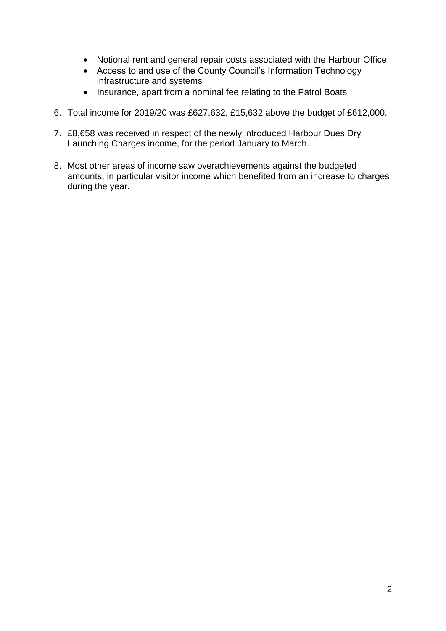- Notional rent and general repair costs associated with the Harbour Office
- Access to and use of the County Council's Information Technology infrastructure and systems
- Insurance, apart from a nominal fee relating to the Patrol Boats
- 6. Total income for 2019/20 was £627,632, £15,632 above the budget of £612,000.
- 7. £8,658 was received in respect of the newly introduced Harbour Dues Dry Launching Charges income, for the period January to March.
- 8. Most other areas of income saw overachievements against the budgeted amounts, in particular visitor income which benefited from an increase to charges during the year.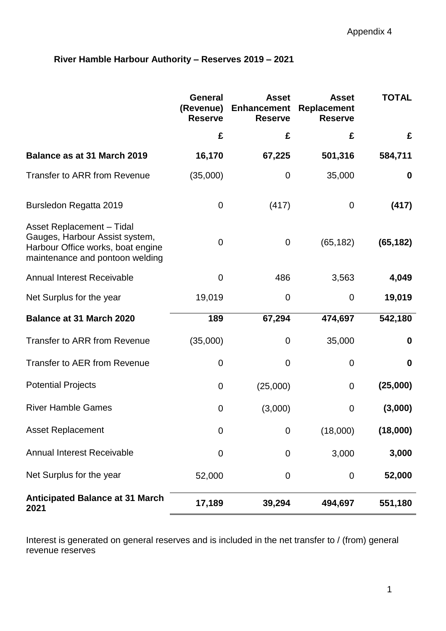## **River Hamble Harbour Authority – Reserves 2019 – 2021**

|                                                                                                                                            | <b>General</b><br>(Revenue)<br><b>Reserve</b> | <b>Asset</b><br><b>Enhancement</b><br><b>Reserve</b> | <b>Asset</b><br><b>Replacement</b><br><b>Reserve</b> | <b>TOTAL</b> |
|--------------------------------------------------------------------------------------------------------------------------------------------|-----------------------------------------------|------------------------------------------------------|------------------------------------------------------|--------------|
|                                                                                                                                            | £                                             | £                                                    | £                                                    | £            |
| Balance as at 31 March 2019                                                                                                                | 16,170                                        | 67,225                                               | 501,316                                              | 584,711      |
| <b>Transfer to ARR from Revenue</b>                                                                                                        | (35,000)                                      | 0                                                    | 35,000                                               | 0            |
| Bursledon Regatta 2019                                                                                                                     | $\overline{0}$                                | (417)                                                | 0                                                    | (417)        |
| <b>Asset Replacement - Tidal</b><br>Gauges, Harbour Assist system,<br>Harbour Office works, boat engine<br>maintenance and pontoon welding | $\overline{0}$                                | $\mathbf 0$                                          | (65, 182)                                            | (65, 182)    |
| <b>Annual Interest Receivable</b>                                                                                                          | $\overline{0}$                                | 486                                                  | 3,563                                                | 4,049        |
| Net Surplus for the year                                                                                                                   | 19,019                                        | 0                                                    | 0                                                    | 19,019       |
| <b>Balance at 31 March 2020</b>                                                                                                            | 189                                           | 67,294                                               | 474,697                                              | 542,180      |
| <b>Transfer to ARR from Revenue</b>                                                                                                        | (35,000)                                      | 0                                                    | 35,000                                               | 0            |
| <b>Transfer to AER from Revenue</b>                                                                                                        | 0                                             | $\mathbf 0$                                          | 0                                                    | $\bf{0}$     |
| <b>Potential Projects</b>                                                                                                                  | 0                                             | (25,000)                                             | 0                                                    | (25,000)     |
| <b>River Hamble Games</b>                                                                                                                  | 0                                             | (3,000)                                              | 0                                                    | (3,000)      |
| <b>Asset Replacement</b>                                                                                                                   | 0                                             | 0                                                    | (18,000)                                             | (18,000)     |
| <b>Annual Interest Receivable</b>                                                                                                          | $\mathbf 0$                                   | 0                                                    | 3,000                                                | 3,000        |
| Net Surplus for the year                                                                                                                   | 52,000                                        | $\mathbf 0$                                          | $\mathbf 0$                                          | 52,000       |
| <b>Anticipated Balance at 31 March</b><br>2021                                                                                             | 17,189                                        | 39,294                                               | 494,697                                              | 551,180      |

Interest is generated on general reserves and is included in the net transfer to / (from) general revenue reserves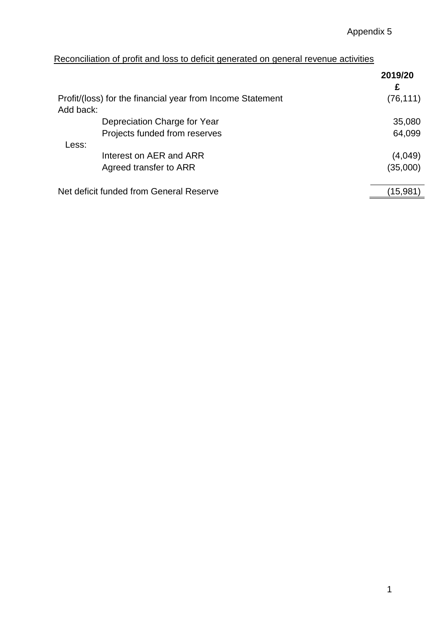## Reconciliation of profit and loss to deficit generated on general revenue activities

|                                                            | 2019/20<br>£ |
|------------------------------------------------------------|--------------|
| Profit/(loss) for the financial year from Income Statement | (76, 111)    |
| Add back:                                                  |              |
| Depreciation Charge for Year                               | 35,080       |
| Projects funded from reserves                              | 64,099       |
| Less:                                                      |              |
| Interest on AER and ARR                                    | (4,049)      |
| Agreed transfer to ARR                                     | (35,000)     |
|                                                            |              |
| Net deficit funded from General Reserve                    | (15,981)     |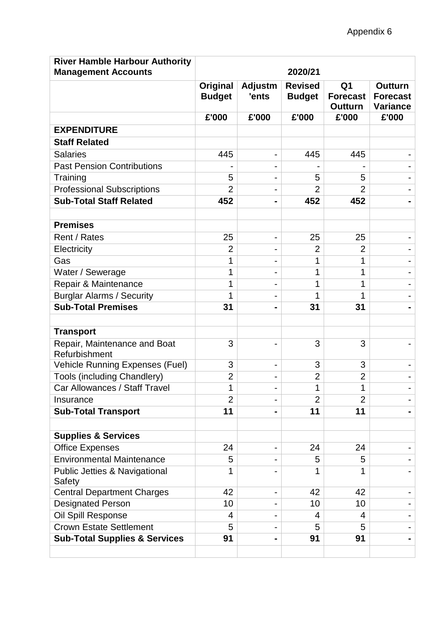| <b>River Hamble Harbour Authority</b>         |                                  |                              |                                 |                                                     |                                               |
|-----------------------------------------------|----------------------------------|------------------------------|---------------------------------|-----------------------------------------------------|-----------------------------------------------|
| <b>Management Accounts</b>                    | 2020/21                          |                              |                                 |                                                     |                                               |
|                                               | <b>Original</b><br><b>Budget</b> | <b>Adjustm</b><br>'ents      | <b>Revised</b><br><b>Budget</b> | Q <sub>1</sub><br><b>Forecast</b><br><b>Outturn</b> | <b>Outturn</b><br><b>Forecast</b><br>Variance |
|                                               | £'000                            | £'000                        | £'000                           | £'000                                               | £'000                                         |
| <b>EXPENDITURE</b>                            |                                  |                              |                                 |                                                     |                                               |
| <b>Staff Related</b>                          |                                  |                              |                                 |                                                     |                                               |
| <b>Salaries</b>                               | 445                              | -                            | 445                             | 445                                                 |                                               |
| <b>Past Pension Contributions</b>             |                                  | -                            |                                 |                                                     |                                               |
| Training                                      | 5                                | -                            | 5                               | 5                                                   |                                               |
| <b>Professional Subscriptions</b>             | $\overline{2}$                   |                              | $\overline{2}$                  | $\overline{2}$                                      |                                               |
| <b>Sub-Total Staff Related</b>                | 452                              | $\blacksquare$               | 452                             | 452                                                 |                                               |
|                                               |                                  |                              |                                 |                                                     |                                               |
| <b>Premises</b>                               |                                  |                              |                                 |                                                     |                                               |
| Rent / Rates                                  | 25                               | $\qquad \qquad \blacksquare$ | 25                              | 25                                                  |                                               |
| Electricity                                   | $\overline{2}$                   |                              | $\overline{2}$                  | 2                                                   |                                               |
| Gas                                           | 1                                |                              | 1                               | 1                                                   |                                               |
| Water / Sewerage                              | 1                                | $\overline{\phantom{0}}$     | 1                               | 1                                                   |                                               |
| Repair & Maintenance                          | 1                                |                              | 1                               | 1                                                   |                                               |
| <b>Burglar Alarms / Security</b>              | 1                                |                              | 1                               | 1                                                   |                                               |
| <b>Sub-Total Premises</b>                     | 31                               | -                            | 31                              | 31                                                  |                                               |
|                                               |                                  |                              |                                 |                                                     |                                               |
| <b>Transport</b>                              |                                  |                              |                                 |                                                     |                                               |
| Repair, Maintenance and Boat<br>Refurbishment | 3                                |                              | 3                               | 3                                                   |                                               |
| Vehicle Running Expenses (Fuel)               | 3                                | $\overline{\phantom{0}}$     | 3                               | 3                                                   |                                               |
| <b>Tools (including Chandlery)</b>            | $\overline{2}$                   | -                            | $\overline{2}$                  | $\overline{2}$                                      |                                               |
| Car Allowances / Staff Travel                 | 1                                | -                            | 1                               | 1                                                   |                                               |
| Insurance                                     | $\overline{2}$                   | $\qquad \qquad \blacksquare$ | $\overline{2}$                  | $\overline{2}$                                      |                                               |
| <b>Sub-Total Transport</b>                    | 11                               |                              | 11                              | 11                                                  |                                               |
|                                               |                                  |                              |                                 |                                                     |                                               |
| <b>Supplies &amp; Services</b>                |                                  |                              |                                 |                                                     |                                               |
| <b>Office Expenses</b>                        | 24                               | $\qquad \qquad \blacksquare$ | 24                              | 24                                                  |                                               |
| <b>Environmental Maintenance</b>              | 5                                |                              | 5                               | 5                                                   |                                               |
| Public Jetties & Navigational<br>Safety       | 1                                |                              | 1                               | 1                                                   |                                               |
| <b>Central Department Charges</b>             | 42                               | -                            | 42                              | 42                                                  |                                               |
| <b>Designated Person</b>                      | 10                               |                              | 10                              | 10                                                  |                                               |
| Oil Spill Response                            | 4                                | -                            | 4                               | 4                                                   |                                               |
| <b>Crown Estate Settlement</b>                | 5                                |                              | 5                               | 5                                                   |                                               |
| <b>Sub-Total Supplies &amp; Services</b>      | 91                               |                              | 91                              | 91                                                  |                                               |
|                                               |                                  |                              |                                 |                                                     |                                               |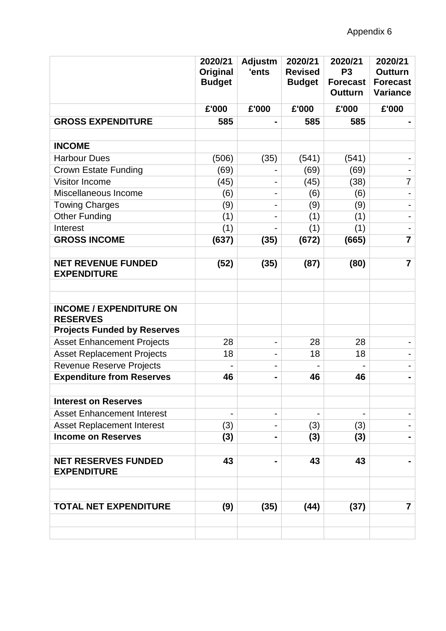|                                                   | 2020/21<br>Original<br><b>Budget</b> | <b>Adjustm</b><br>'ents      | 2020/21<br><b>Revised</b><br><b>Budget</b> | 2020/21<br>P <sub>3</sub><br><b>Forecast</b><br><b>Outturn</b> | 2020/21<br><b>Outturn</b><br><b>Forecast</b><br><b>Variance</b> |
|---------------------------------------------------|--------------------------------------|------------------------------|--------------------------------------------|----------------------------------------------------------------|-----------------------------------------------------------------|
|                                                   | £'000                                | £'000                        | £'000                                      | £'000                                                          | £'000                                                           |
| <b>GROSS EXPENDITURE</b>                          | 585                                  | $\blacksquare$               | 585                                        | 585                                                            |                                                                 |
| <b>INCOME</b>                                     |                                      |                              |                                            |                                                                |                                                                 |
| <b>Harbour Dues</b>                               |                                      |                              |                                            |                                                                |                                                                 |
|                                                   | (506)                                | (35)                         | (541)                                      | (541)                                                          |                                                                 |
| <b>Crown Estate Funding</b>                       | (69)                                 |                              | (69)                                       | (69)                                                           |                                                                 |
| Visitor Income                                    | (45)                                 | $\qquad \qquad \blacksquare$ | (45)                                       | (38)                                                           | $\overline{7}$                                                  |
| Miscellaneous Income                              | (6)                                  | -                            | (6)                                        | (6)                                                            |                                                                 |
| <b>Towing Charges</b>                             | (9)                                  | -                            | (9)                                        | (9)                                                            |                                                                 |
| <b>Other Funding</b>                              | (1)                                  | ۰                            | (1)                                        | (1)                                                            |                                                                 |
| Interest                                          | (1)                                  |                              | (1)                                        | (1)                                                            |                                                                 |
| <b>GROSS INCOME</b>                               | (637)                                | (35)                         | (672)                                      | (665)                                                          | $\overline{7}$                                                  |
|                                                   |                                      |                              |                                            |                                                                |                                                                 |
| <b>NET REVENUE FUNDED</b><br><b>EXPENDITURE</b>   | (52)                                 | (35)                         | (87)                                       | (80)                                                           | $\overline{7}$                                                  |
|                                                   |                                      |                              |                                            |                                                                |                                                                 |
|                                                   |                                      |                              |                                            |                                                                |                                                                 |
| <b>INCOME / EXPENDITURE ON</b><br><b>RESERVES</b> |                                      |                              |                                            |                                                                |                                                                 |
| <b>Projects Funded by Reserves</b>                |                                      |                              |                                            |                                                                |                                                                 |
| <b>Asset Enhancement Projects</b>                 | 28                                   | $\overline{\phantom{a}}$     | 28                                         | 28                                                             |                                                                 |
| <b>Asset Replacement Projects</b>                 | 18                                   | -                            | 18                                         | 18                                                             |                                                                 |
| Revenue Reserve Projects                          |                                      | -                            |                                            |                                                                |                                                                 |
| <b>Expenditure from Reserves</b>                  | 46                                   | $\blacksquare$               | 46                                         | 46                                                             | -                                                               |
|                                                   |                                      |                              |                                            |                                                                |                                                                 |
| <b>Interest on Reserves</b>                       |                                      |                              |                                            |                                                                |                                                                 |
| <b>Asset Enhancement Interest</b>                 |                                      | $\overline{\phantom{a}}$     |                                            | -                                                              |                                                                 |
| <b>Asset Replacement Interest</b>                 | (3)                                  |                              | (3)                                        | (3)                                                            |                                                                 |
| <b>Income on Reserves</b>                         | (3)                                  | $\blacksquare$               | (3)                                        | (3)                                                            |                                                                 |
|                                                   |                                      |                              |                                            |                                                                |                                                                 |
| <b>NET RESERVES FUNDED</b><br><b>EXPENDITURE</b>  | 43                                   |                              | 43                                         | 43                                                             |                                                                 |
|                                                   |                                      |                              |                                            |                                                                |                                                                 |
| <b>TOTAL NET EXPENDITURE</b>                      | (9)                                  | (35)                         | (44)                                       | (37)                                                           | $\overline{7}$                                                  |
|                                                   |                                      |                              |                                            |                                                                |                                                                 |